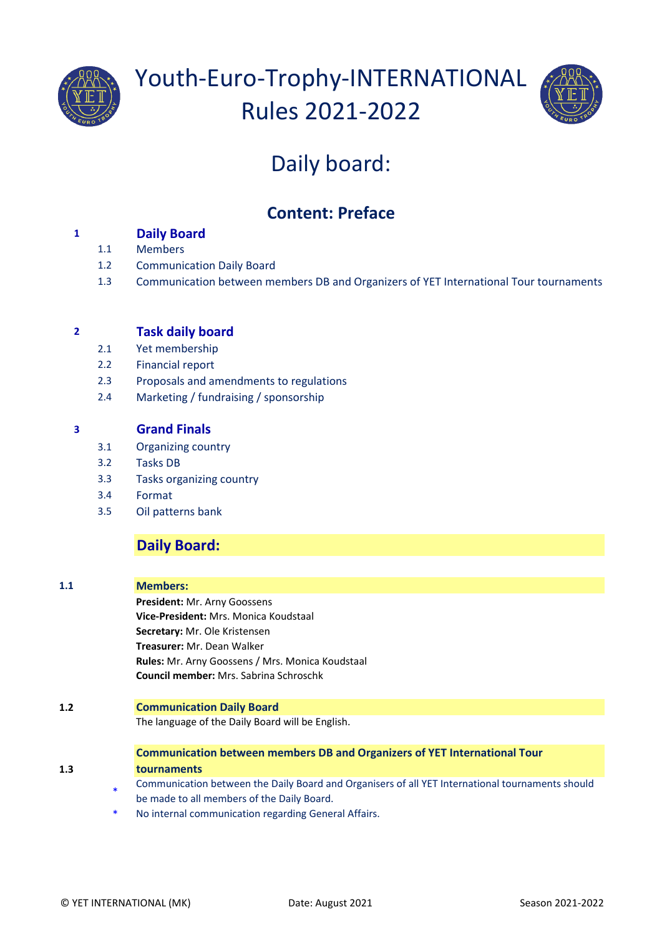



# Daily board:

## **Content: Preface**

## **1 Daily Board**

- 1.1 Members
- 1.2 Communication Daily Board
- 1.3 Communication between members DB and Organizers of YET International Tour tournaments

### **2 Task daily board**

- 2.1 Yet membership
- 2.2 Financial report
- 2.3 Proposals and amendments to regulations
- 2.4 Marketing / fundraising / sponsorship

## **3 Grand Finals**

- 3.1 Organizing country
- 3.2 Tasks DB
- 3.3 Tasks organizing country
- 3.4 Format
- 3.5 Oil patterns bank

## **Daily Board:**

#### **1.1 Members:**

**President:** Mr. Arny Goossens **Vice-President:** Mrs. Monica Koudstaal **Secretary:** Mr. Ole Kristensen **Treasurer:** Mr. Dean Walker **Rules:** Mr. Arny Goossens / Mrs. Monica Koudstaal **Council member:** Mrs. Sabrina Schroschk

#### **1.2 Communication Daily Board**

The language of the Daily Board will be English.

#### **Communication between members DB and Organizers of YET International Tour tournaments**

- \* Communication between the Daily Board and Organisers of all YET International tournaments should be made to all members of the Daily Board.
- No internal communication regarding General Affairs.

**1.3**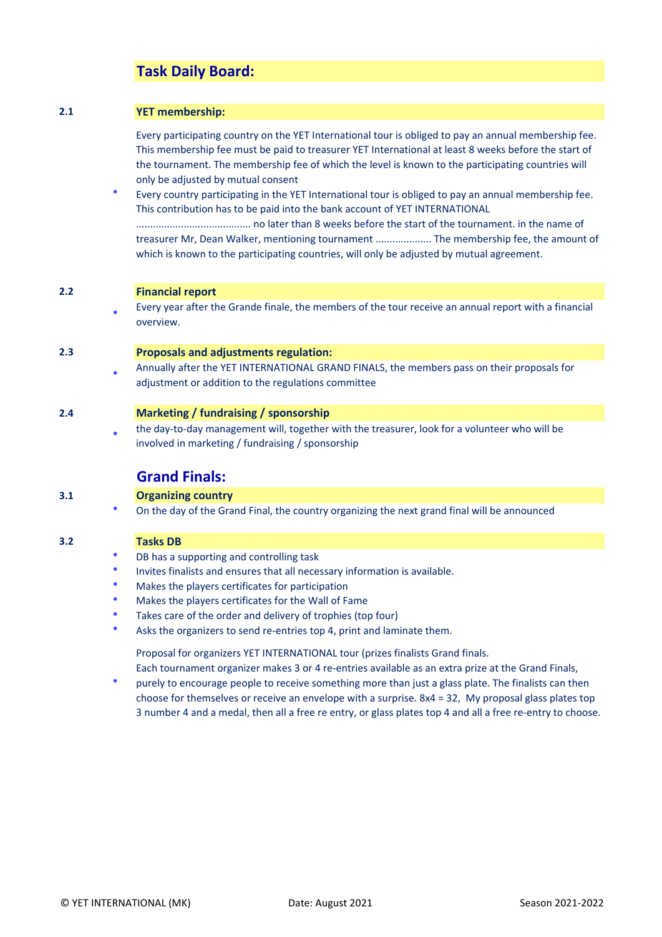## **Task Daily Board:**

#### **2.1 YET membership:**

Every participating country on the YET International tour is obliged to pay an annual membership fee. This membership fee must be paid to treasurer YET International at least 8 weeks before the start of the tournament. The membership fee of which the level is known to the participating countries will only be adjusted by mutual consent

\* Every country participating in the YET International tour is obliged to pay an annual membership fee. This contribution has to be paid into the bank account of YET INTERNATIONAL ......................................... no later than 8 weeks before the start of the tournament. in the name of treasurer Mr, Dean Walker, mentioning tournament .................... The membership fee, the amount of which is known to the participating countries, will only be adjusted by mutual agreement.

#### **2.2 Financial report**

\* Every year after the Grande finale, the members of the tour receive an annual report with a financial overview.

#### **2.3 Proposals and adjustments regulation:**

\* Annually after the YET INTERNATIONAL GRAND FINALS, the members pass on their proposals for adjustment or addition to the regulations committee

#### **2.4 Marketing / fundraising / sponsorship**

\* the day-to-day management will, together with the treasurer, look for a volunteer who will be involved in marketing / fundraising / sponsorship

#### **Grand Finals:**

#### **3.1 Organizing country**

On the day of the Grand Final, the country organizing the next grand final will be announced

#### **3.2 Tasks DB**

- DB has a supporting and controlling task
- Invites finalists and ensures that all necessary information is available.
- Makes the players certificates for participation
- Makes the players certificates for the Wall of Fame
- Takes care of the order and delivery of trophies (top four)
- Asks the organizers to send re-entries top 4, print and laminate them.

Proposal for organizers YET INTERNATIONAL tour (prizes finalists Grand finals.

\* Each tournament organizer makes 3 or 4 re-entries available as an extra prize at the Grand Finals, purely to encourage people to receive something more than just a glass plate. The finalists can then choose for themselves or receive an envelope with a surprise. 8x4 = 32, My proposal glass plates top

3 number 4 and a medal, then all a free re entry, or glass plates top 4 and all a free re-entry to choose.